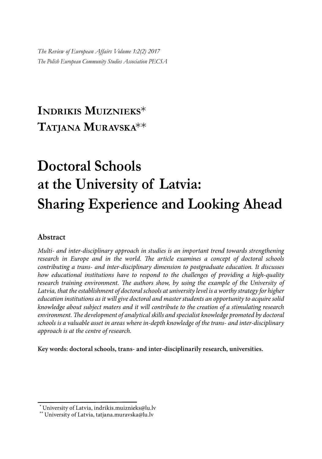*The Review of European Affairs Volume 1:2(2) 2017 The Polish European Community Studies Association PECSA*

# **INDRIKIS MUIZNIEKS**\* **TATJANA MURAVSKA**\*\*

# **Doctoral Schools at the University of Latvia: Sharing Experience and Looking Ahead**

### **Abstract**

*Multi- and inter-disciplinary approach in studies is an important trend towards strengthening research in Europe and in the world. The article examines a concept of doctoral schools contributing a trans- and inter-disciplinary dimension to postgraduate education. It discusses how educational institutions have to respond to the challenges of providing a high-quality*  research training environment. The authors show, by using the example of the University of *Latvia, that the establishment of doctoral schools at university level is a worthy strategy for higher education institutions as it will give doctoral and master students an opportunity to acquire solid knowledge about subject maters and it will contribute to the creation of a stimulating research environment. The development of analytical skills and specialist knowledge promoted by doctoral schools is a valuable asset in areas where in-depth knowledge of the trans- and inter-disciplinary approach is at the centre of research.*

**Key words: doctoral schools, trans- and inter-disciplinarily research, universities.**

<sup>\*</sup> University of Latvia, indrikis.muiznieks@lu.lv

<sup>\*\*</sup> University of Latvia, tatjana.muravska@lu.lv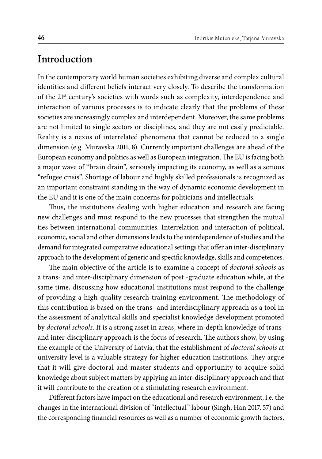### **Introduction**

In the contemporary world human societies exhibiting diverse and complex cultural identities and different beliefs interact very closely. To describe the transformation of the 21st century's societies with words such as complexity, interdependence and interaction of various processes is to indicate clearly that the problems of these societies are increasingly complex and interdependent. Moreover, the same problems are not limited to single sectors or disciplines, and they are not easily predictable. Reality is a nexus of interrelated phenomena that cannot be reduced to a single dimension (e.g. Muravska 2011, 8). Currently important challenges are ahead of the European economy and politics as well as European integration. The EU is facing both a major wave of "brain drain", seriously impacting its economy, as well as a serious "refugee crisis". Shortage of labour and highly skilled professionals is recognized as an important constraint standing in the way of dynamic economic development in the EU and it is one of the main concerns for politicians and intellectuals.

Thus, the institutions dealing with higher education and research are facing new challenges and must respond to the new processes that strengthen the mutual ties between international communities. Interrelation and interaction of political, economic, social and other dimensions leads to the interdependence of studies and the demand for integrated comparative educational settings that offer an inter-disciplinary approach to the development of generic and specific knowledge, skills and competences.

The main objective of the article is to examine a concept of *doctoral schools* as a trans- and inter-disciplinary dimension of post -graduate education while, at the same time, discussing how educational institutions must respond to the challenge of providing a high-quality research training environment. The methodology of this contribution is based on the trans- and interdisciplinary approach as a tool in the assessment of analytical skills and specialist knowledge development promoted by *doctoral schools*. It is a strong asset in areas, where in-depth knowledge of transand inter-disciplinary approach is the focus of research. The authors show, by using the example of the University of Latvia, that the establishment of *doctoral schools* at university level is a valuable strategy for higher education institutions. They argue that it will give doctoral and master students and opportunity to acquire solid knowledge about subject matters by applying an inter-disciplinary approach and that it will contribute to the creation of a stimulating research environment.

Different factors have impact on the educational and research environment, i.e. the changes in the international division of "intellectual" labour (Singh, Han 2017, 57) and the corresponding financial resources as well as a number of economic growth factors,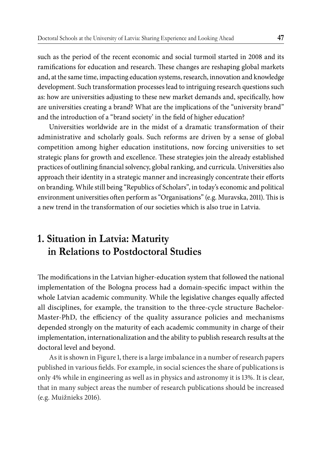such as the period of the recent economic and social turmoil started in 2008 and its ramifications for education and research. These changes are reshaping global markets and, at the same time, impacting education systems, research, innovation and knowledge development. Such transformation processes lead to intriguing research questions such as: how are universities adjusting to these new market demands and, specifically, how are universities creating a brand? What are the implications of the "university brand" and the introduction of a "brand society' in the field of higher education?

Universities worldwide are in the midst of a dramatic transformation of their administrative and scholarly goals. Such reforms are driven by a sense of global competition among higher education institutions, now forcing universities to set strategic plans for growth and excellence. These strategies join the already established practices of outlining financial solvency, global ranking, and curricula. Universities also approach their identity in a strategic manner and increasingly concentrate their efforts on branding. While still being "Republics of Scholars", in today's economic and political environment universities often perform as "Organisations" (e.g. Muravska, 2011). This is a new trend in the transformation of our societies which is also true in Latvia.

## **1. Situation in Latvia: Maturity in Relations to Postdoctoral Studies**

The modifications in the Latvian higher-education system that followed the national implementation of the Bologna process had a domain-specific impact within the whole Latvian academic community. While the legislative changes equally affected all disciplines, for example, the transition to the three-cycle structure Bachelor-Master-PhD, the efficiency of the quality assurance policies and mechanisms depended strongly on the maturity of each academic community in charge of their implementation, internationalization and the ability to publish research results at the doctoral level and beyond.

As it is shown in Figure 1, there is a large imbalance in a number of research papers published in various fields. For example, in social sciences the share of publications is only 4% while in engineering as well as in physics and astronomy it is 13%. It is clear, that in many subject areas the number of research publications should be increased (e.g. Muižnieks 2016).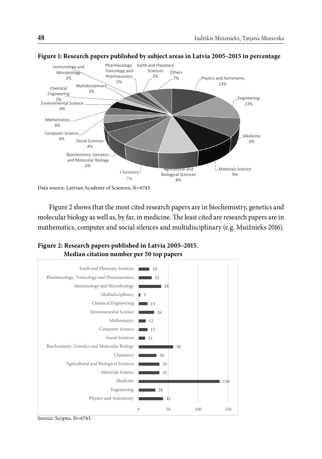

#### **Figure 1: Research papers published by subject areas in Latvia 2005–2015 in percentage**

Data source: Latvian Academy of Sciences; N=6743.

Figure 2 shows that the most cited research papers are in biochemistry, genetics and molecular biology as well as, by far, in medicine. The least cited are research papers are in mathematics, computer and social silences and multidisciplinary (e.g. Muižnieks 2016).



### **Figure 2: Research papers published in Latvia 2005–2015. Median citation number per 50 top papers**

Source: Scopus, N=6743.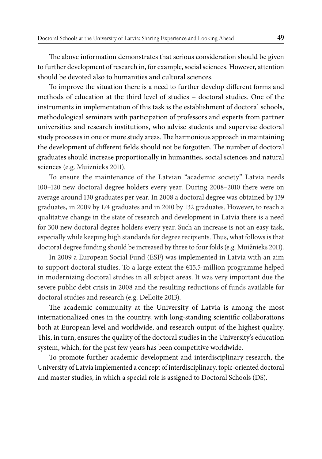The above information demonstrates that serious consideration should be given to further development of research in, for example, social sciences. However, attention should be devoted also to humanities and cultural sciences.

To improve the situation there is a need to further develop different forms and methods of education at the third level of studies − doctoral studies. One of the instruments in implementation of this task is the establishment of doctoral schools, methodological seminars with participation of professors and experts from partner universities and research institutions, who advise students and supervise doctoral study processes in one or more study areas. The harmonious approach in maintaining the development of different fields should not be forgotten. The number of doctoral graduates should increase proportionally in humanities, social sciences and natural sciences (e.g. Muiznieks 2011).

To ensure the maintenance of the Latvian "academic society" Latvia needs 100–120 new doctoral degree holders every year. During 2008–2010 there were on average around 130 graduates per year. In 2008 a doctoral degree was obtained by 139 graduates, in 2009 by 174 graduates and in 2010 by 132 graduates. However, to reach a qualitative change in the state of research and development in Latvia there is a need for 300 new doctoral degree holders every year. Such an increase is not an easy task, especially while keeping high standards for degree recipients. Thus, what follows is that doctoral degree funding should be increased by three to four folds (e.g. Muižnieks 2011).

In 2009 a European Social Fund (ESF) was implemented in Latvia with an aim to support doctoral studies. To a large extent the  $E$ 15.5-million programme helped in modernizing doctoral studies in all subject areas. It was very important due the severe public debt crisis in 2008 and the resulting reductions of funds available for doctoral studies and research (e.g. Delloite 2013).

The academic community at the University of Latvia is among the most internationalized ones in the country, with long-standing scientific collaborations both at European level and worldwide, and research output of the highest quality. This, in turn, ensures the quality of the doctoral studies in the University's education system, which, for the past few years has been competitive worldwide.

To promote further academic development and interdisciplinary research, the University of Latvia implemented a concept of interdisciplinary, topic-oriented doctoral and master studies, in which a special role is assigned to Doctoral Schools (DS).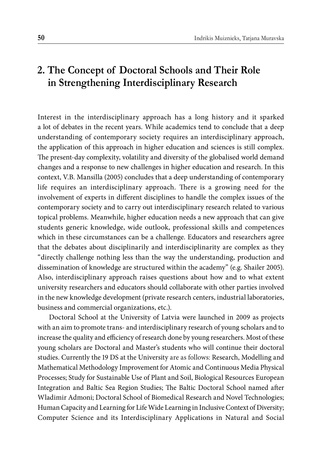# **2. The Concept of Doctoral Schools and Their Role in Strengthening Interdisciplinary Research**

Interest in the interdisciplinary approach has a long history and it sparked a lot of debates in the recent years. While academics tend to conclude that a deep understanding of contemporary society requires an interdisciplinary approach, the application of this approach in higher education and sciences is still complex. The present-day complexity, volatility and diversity of the globalised world demand changes and a response to new challenges in higher education and research. In this context, V.B. Mansilla (2005) concludes that a deep understanding of contemporary life requires an interdisciplinary approach. There is a growing need for the involvement of experts in different disciplines to handle the complex issues of the contemporary society and to carry out interdisciplinary research related to various topical problems. Meanwhile, higher education needs a new approach that can give students generic knowledge, wide outlook, professional skills and competences which in these circumstances can be a challenge. Educators and researchers agree that the debates about disciplinarily and interdisciplinarity are complex as they "directly challenge nothing less than the way the understanding, production and dissemination of knowledge are structured within the academy" (e.g. Shailer 2005). Also, interdisciplinary approach raises questions about how and to what extent university researchers and educators should collaborate with other parties involved in the new knowledge development (private research centers, industrial laboratories, business and commercial organizations, etc.).

Doctoral School at the University of Latvia were launched in 2009 as projects with an aim to promote trans- and interdisciplinary research of young scholars and to increase the quality and efficiency of research done by young researchers. Most of these young scholars are Doctoral and Master's students who will continue their doctoral studies. Currently the 19 DS at the University are as follows: Research, Modelling and Mathematical Methodology Improvement for Atomic and Continuous Media Physical Processes; Study for Sustainable Use of Plant and Soil, Biological Resources European Integration and Baltic Sea Region Studies; The Baltic Doctoral School named after Wladimir Admoni; Doctoral School of Biomedical Research and Novel Technologies; Human Capacity and Learning for Life Wide Learning in Inclusive Context of Diversity; Computer Science and its Interdisciplinary Applications in Natural and Social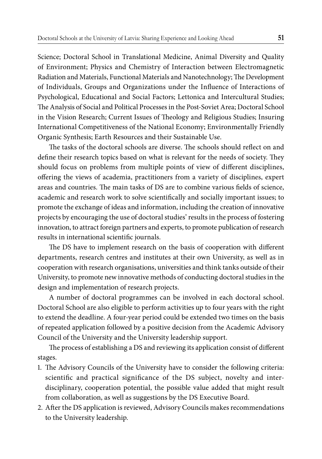Science; Doctoral School in Translational Medicine, Animal Diversity and Quality of Environment; Physics and Chemistry of Interaction between Electromagnetic Radiation and Materials, Functional Materials and Nanotechnology; The Development of Individuals, Groups and Organizations under the Influence of Interactions of Psychological, Educational and Social Factors; Lettonica and Intercultural Studies; The Analysis of Social and Political Processes in the Post-Soviet Area; Doctoral School in the Vision Research; Current Issues of Theology and Religious Studies; Insuring International Competitiveness of the National Economy; Environmentally Friendly Organic Synthesis; Earth Resources and their Sustainable Use.

The tasks of the doctoral schools are diverse. The schools should reflect on and define their research topics based on what is relevant for the needs of society. They should focus on problems from multiple points of view of different disciplines, offering the views of academia, practitioners from a variety of disciplines, expert areas and countries. The main tasks of DS are to combine various fields of science, academic and research work to solve scientifically and socially important issues; to promote the exchange of ideas and information, including the creation of innovative projects by encouraging the use of doctoral studies' results in the process of fostering innovation, to attract foreign partners and experts, to promote publication of research results in international scientific journals.

The DS have to implement research on the basis of cooperation with different departments, research centres and institutes at their own University, as well as in cooperation with research organisations, universities and think tanks outside of their University, to promote new innovative methods of conducting doctoral studies in the design and implementation of research projects.

A number of doctoral programmes can be involved in each doctoral school. Doctoral School are also eligible to perform activities up to four years with the right to extend the deadline. A four-year period could be extended two times on the basis of repeated application followed by a positive decision from the Academic Advisory Council of the University and the University leadership support.

The process of establishing a DS and reviewing its application consist of different stages.

- 1. The Advisory Councils of the University have to consider the following criteria: scientific and practical significance of the DS subject, novelty and interdisciplinary, cooperation potential, the possible value added that might result from collaboration, as well as suggestions by the DS Executive Board.
- 2. After the DS application is reviewed, Advisory Councils makes recommendations to the University leadership.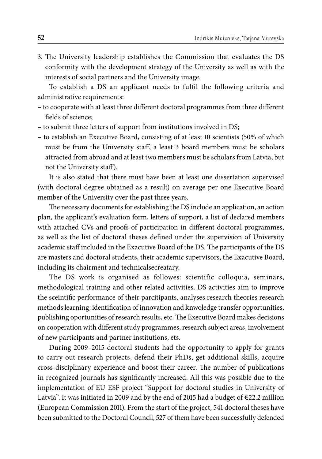3. The University leadership establishes the Commission that evaluates the DS conformity with the development strategy of the University as well as with the interests of social partners and the University image.

To establish a DS an applicant needs to fulfil the following criteria and administrative requirements:

- to cooperate with at least three different doctoral programmes from three different fields of science;
- to submit three letters of support from institutions involved in DS;
- to establish an Executive Board, consisting of at least 10 scientists (50% of which must be from the University staff, a least 3 board members must be scholars attracted from abroad and at least two members must be scholars from Latvia, but not the University staff).

It is also stated that there must have been at least one dissertation supervised (with doctoral degree obtained as a result) on average per one Executive Board member of the University over the past three years.

The necessary documents for establishing the DS include an application, an action plan, the applicant's evaluation form, letters of support, a list of declared members with attached CVs and proofs of participation in different doctoral programmes, as well as the list of doctoral theses defined under the supervision of University academic staff included in the Exacutive Board of the DS. The participants of the DS are masters and doctoral students, their academic supervisors, the Exacutive Board, including its chairment and technicalsecreatary.

The DS work is organised as followes: scientific colloquia, seminars, methodological training and other related activities. DS activities aim to improve the sceintific performance of their parcitipants, analyses research theories research methods learning, identification of innovation and knwoledge transfer opportunities, publishing oportunities of research results, etc. The Executive Board makes decisions on cooperation with different study programmes, research subject areas, involvement of new participants and partner institutions, ets.

During 2009–2015 doctoral students had the opportunity to apply for grants to carry out research projects, defend their PhDs, get additional skills, acquire cross-disciplinary experience and boost their career. The number of publications in recognized journals has significantly increased. All this was possible due to the implementation of EU ESF project "Support for doctoral studies in University of Latvia". It was initiated in 2009 and by the end of 2015 had a budget of  $\epsilon$ 22.2 million (European Commission 2011). From the start of the project, 541 doctoral theses have been submitted to the Doctoral Council, 527 of them have been successfully defended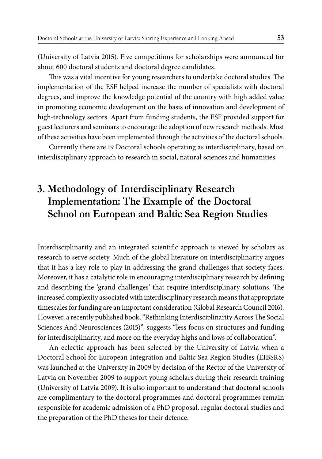(University of Latvia 2015). Five competitions for scholarships were announced for about 600 doctoral students and doctoral degree candidates.

This was a vital incentive for young researchers to undertake doctoral studies. The implementation of the ESF helped increase the number of specialists with doctoral degrees, and improve the knowledge potential of the country with high added value in promoting economic development on the basis of innovation and development of high-technology sectors. Apart from funding students, the ESF provided support for guest lecturers and seminars to encourage the adoption of new research methods. Most of these activities have been implemented through the activities of the doctoral schools.

Currently there are 19 Doctoral schools operating as interdisciplinary, based on interdisciplinary approach to research in social, natural sciences and humanities.

# **3. Methodology of Interdisciplinary Research Implementation: The Example of the Doctoral School on European and Baltic Sea Region Studies**

Interdisciplinarity and an integrated scientific approach is viewed by scholars as research to serve society. Much of the global literature on interdisciplinarity argues that it has a key role to play in addressing the grand challenges that society faces. Moreover, it has a catalytic role in encouraging interdisciplinary research by defining and describing the 'grand challenges' that require interdisciplinary solutions. The increased complexity associated with interdisciplinary research means that appropriate timescales for funding are an important consideration (Global Research Council 2016). However, a recently published book, "Rethinking Interdisciplinarity Across The Social Sciences And Neurosciences (2015)", suggests "less focus on structures and funding for interdisciplinarity, and more on the everyday highs and lows of collaboration".

An eclectic approach has been selected by the University of Latvia when a Doctoral School for European Integration and Baltic Sea Region Studies (EIBSRS) was launched at the University in 2009 by decision of the Rector of the University of Latvia on November 2009 to support young scholars during their research training (University of Latvia 2009). It is also important to understand that doctoral schools are complimentary to the doctoral programmes and doctoral programmes remain responsible for academic admission of a PhD proposal, regular doctoral studies and the preparation of the PhD theses for their defence.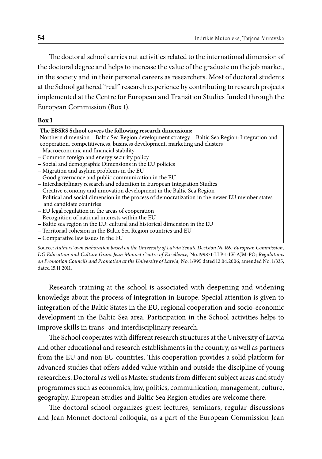The doctoral school carries out activities related to the international dimension of the doctoral degree and helps to increase the value of the graduate on the job market, in the society and in their personal careers as researchers. Most of doctoral students at the School gathered "real" research experience by contributing to research projects implemented at the Centre for European and Transition Studies funded through the European Commission (Box 1).

#### **Box 1**

| The EBSRS School covers the following research dimensions:                                         |
|----------------------------------------------------------------------------------------------------|
| Northern dimension – Baltic Sea Region development strategy – Baltic Sea Region: Integration and   |
| cooperation, competitiveness, business development, marketing and clusters                         |
| - Macroeconomic and financial stability                                                            |
| - Common foreign and energy security policy                                                        |
| - Social and demographic Dimensions in the EU policies                                             |
| $-$ Migration and asylum problems in the EU                                                        |
| - Good governance and public communication in the EU                                               |
| - Interdisciplinary research and education in European Integration Studies                         |
| - Creative economy and innovation development in the Baltic Sea Region                             |
| $-$ Political and social dimension in the process of democratization in the newer EU member states |
| and candidate countries                                                                            |
| $-$ EU legal regulation in the areas of cooperation                                                |
| $-$ Recognition of national interests within the EU                                                |
| - Baltic sea region in the EU: cultural and historical dimension in the EU                         |
| – Territorial cohesion in the Baltic Sea Region countries and EU                                   |
| $\vdash$ Comparative law issues in the EU                                                          |

Source: *Authors' own elaboration based on the University of Latvia Senate Decision No 169; European Commission, DG Education and Culture Grant Jean Monnet Centre of Excellence,* No.199871-LLP-1-LV-AJM-PO; *Regulations on Promotion Councils and Promotion at the University of Latvia,* No. 1/995 dated 12.04.2006, amended No. 1/335, dated 15.11.2011.

Research training at the school is associated with deepening and widening knowledge about the process of integration in Europe. Special attention is given to integration of the Baltic States in the EU, regional cooperation and socio-economic development in the Baltic Sea area. Participation in the School activities helps to improve skills in trans- and interdisciplinary research.

The School cooperates with different research structures at the University of Latvia and other educational and research establishments in the country, as well as partners from the EU and non-EU countries. This cooperation provides a solid platform for advanced studies that offers added value within and outside the discipline of young researchers. Doctoral as well as Master students from different subject areas and study programmes such as economics, law, politics, communication, management, culture, geography, European Studies and Baltic Sea Region Studies are welcome there.

The doctoral school organizes guest lectures, seminars, regular discussions and Jean Monnet doctoral colloquia, as a part of the European Commission Jean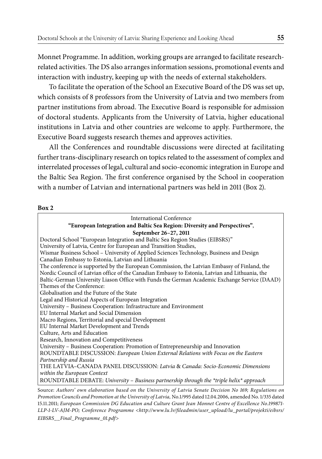Monnet Programme. In addition, working groups are arranged to facilitate researchrelated activities. The DS also arranges information sessions, promotional events and interaction with industry, keeping up with the needs of external stakeholders.

To facilitate the operation of the School an Executive Board of the DS was set up, which consists of 8 professors from the University of Latvia and two members from partner institutions from abroad. The Executive Board is responsible for admission of doctoral students. Applicants from the University of Latvia, higher educational institutions in Latvia and other countries are welcome to apply. Furthermore, the Executive Board suggests research themes and approves activities.

All the Conferences and roundtable discussions were directed at facilitating further trans-disciplinary research on topics related to the assessment of complex and interrelated processes of legal, cultural and socio-economic integration in Europe and the Baltic Sea Region. The first conference organised by the School in cooperation with a number of Latvian and international partners was held in 2011 (Box 2).

| International Conference                                                                                  |
|-----------------------------------------------------------------------------------------------------------|
| "European Integration and Baltic Sea Region: Diversity and Perspectives",                                 |
| September 26-27, 2011                                                                                     |
| Doctoral School "European Integration and Baltic Sea Region Studies (EIBSRS)"                             |
| University of Latvia, Centre for European and Transition Studies,                                         |
| Wismar Business School - University of Applied Sciences Technology, Business and Design                   |
| Canadian Embassy to Estonia, Latvian and Lithuania                                                        |
| The conference is supported by the European Commission, the Latvian Embassy of Finland, the               |
| Nordic Council of Latvian office of the Canadian Embassy to Estonia, Latvian and Lithuania, the           |
| Baltic-German University Liason Office with Funds the German Academic Exchange Service (DAAD)             |
| Themes of the Conference:                                                                                 |
| Globalisation and the Future of the State                                                                 |
| Legal and Historical Aspects of European Integration                                                      |
| University – Business Cooperation: Infrastructure and Environment                                         |
| EU Internal Market and Social Dimension                                                                   |
| Macro Regions, Territorial and special Development                                                        |
| EU Internal Market Development and Trends                                                                 |
| Culture, Arts and Education                                                                               |
| Research, Innovation and Competitiveness                                                                  |
| University – Business Cooperation: Promotion of Entrepreneurship and Innovation                           |
| ROUNDTABLE DISCUSSION: European Union External Relations with Focus on the Eastern                        |
| Partnership and Russia                                                                                    |
| THE LATVIA-CANADA PANEL DISCUSSION: Latvia & Canada: Socio-Economic Dimensions                            |
| within the European Context                                                                               |
| ROUNDTABLE DEBATE: University - Business partnership through the *triple helix* approach                  |
| Source: Authors' own elaboration based on the University of Latvia Senate Decision No 169; Regulations on |

*Promotion Councils and Promotion at the University of Latvia,* No.1/995 dated 12.04.2006, amended No. 1/335 dated 15.11.2011; *European Commission DG Education and Culture Grant Jean Monnet Centre of Excellence No.199871- LLP-1-LV-AJM-PO; Conference Programme <http://www.lu.lv/fi leadmin/user\_upload/lu\_portal/projekti/eibsrs/ EIBSRS\_\_Final\_Programme\_01.pdf>*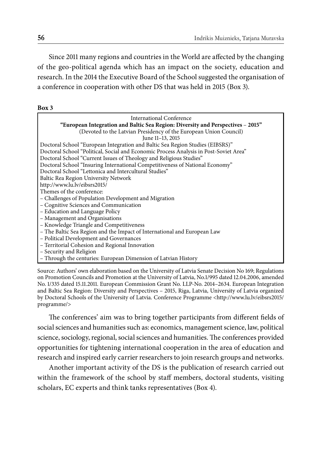Since 2011 many regions and countries in the World are affected by the changing of the geo-political agenda which has an impact on the society, education and research. In the 2014 the Executive Board of the School suggested the organisation of a conference in cooperation with other DS that was held in 2015 (Box 3).

| International Conference                                                              |
|---------------------------------------------------------------------------------------|
| "European Integration and Baltic Sea Region: Diversity and Perspectives – 2015"       |
| (Devoted to the Latvian Presidency of the European Union Council)                     |
| June 11-13, 2015                                                                      |
| Doctoral School "European Integration and Baltic Sea Region Studies (EIBSRS)"         |
| Doctoral School "Political, Social and Economic Process Analysis in Post-Soviet Area" |
| Doctoral School "Current Issues of Theology and Religious Studies"                    |
| Doctoral School "Insuring International Competitiveness of National Economy"          |
| Doctoral School "Lettonica and Intercultural Studies"                                 |
| Baltic Rea Region University Network                                                  |
| http://www.lu.lv/eibsrs2015/                                                          |
| Themes of the conference:                                                             |
| – Challenges of Population Development and Migration                                  |
| - Cognitive Sciences and Communication                                                |
| - Education and Language Policy                                                       |
| - Management and Organisations                                                        |
| - Knowledge Triangle and Competitiveness                                              |
| - The Baltic Sea Region and the Impact of International and European Law              |
| - Political Development and Governances                                               |
| - Territorial Cohesion and Regional Innovation                                        |
| - Security and Religion                                                               |
| - Through the centuries: European Dimension of Latvian History                        |

Source: Authors' own elaboration based on the University of Latvia Senate Decision No 169; Regulations on Promotion Councils and Promotion at the University of Latvia, No.1/995 dated 12.04.2006, amended No. 1/335 dated 15.11.2011. European Commission Grant No. LLP-No. 2014–2634. European Integration and Baltic Sea Region: Diversity and Perspectives – 2015, Riga, Latvia, University of Latvia organized by Doctoral Schools of the University of Latvia. Conference Programme <http://www.lu.lv/eibsrs2015/ programme/>

The conferences' aim was to bring together participants from different fields of social sciences and humanities such as: economics, management science, law, political science, sociology, regional, social sciences and humanities. The conferences provided opportunities for tightening international cooperation in the area of education and research and inspired early carrier researchers to join research groups and networks.

Another important activity of the DS is the publication of research carried out within the framework of the school by staff members, doctoral students, visiting scholars, EC experts and think tanks representatives (Box 4).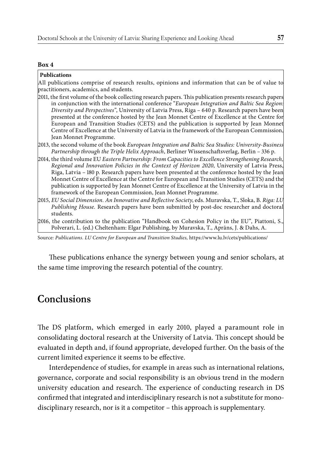#### **Box 4**

#### **Publications**

All publications comprise of research results, opinions and information that can be of value to practitioners, academics, and students.

- 2011, the first volume of the book collecting research papers. This publication presents research papers in conjunction with the international conference "*European Integration and Baltic Sea Region: Diversity and Perspectives"*, University of Latvia Press, Riga – 640 p. Research papers have been presented at the conference hosted by the Jean Monnet Centre of Excellence at the Centre for European and Transition Studies (CETS) and the publication is supported by Jean Monnet Centre of Excellence at the University of Latvia in the framework of the European Commission, Jean Monnet Programme.
- 2013, the second volume of the book *European Integration and Baltic Sea Studies: University-Business Partnership through the Triple Helix Approach*, Berliner Wissenschaftsverlag, Berlin – 336 p.
- 2014, the third volume EU *Eastern Partnership: From Capacities to Excellence Strengthening Research, Regional and Innovation Policies in the Context of Horizon 2020*, University of Latvia Press, Riga, Latvia – 180 p. Research papers have been presented at the conference hosted by the Jean Monnet Centre of Excellence at the Centre for European and Transition Studies (CETS) and the publication is supported by Jean Monnet Centre of Excellence at the University of Latvia in the framework of the European Commission, Jean Monnet Programme.
- 2015, *EU Social Dimension. An Innovative and Refl ective Society*, eds. Muravska, T., Sloka, B. *Riga: LU Publishing House.* Research papers have been submitted by post-doc researcher and doctoral students.
- 2016, the contribution to the publication "Handbook on Cohesion Policy in the EU", Piattoni, S., Polverari, L. (ed.) Cheltenham: Elgar Publishing, by Muravska, T., Aprāns, J. & Dahs, A.

Source*: Publications. LU Centre for European and Transition Studies,* https://www.lu.lv/cets/publications/

These publications enhance the synergy between young and senior scholars, at the same time improving the research potential of the country.

### **Conclusions**

The DS platform, which emerged in early 2010, played a paramount role in consolidating doctoral research at the University of Latvia. This concept should be evaluated in depth and, if found appropriate, developed further. On the basis of the current limited experience it seems to be effective.

Interdependence of studies, for example in areas such as international relations, governance, corporate and social responsibility is an obvious trend in the modern university education and research. The experience of conducting research in DS confirmed that integrated and interdisciplinary research is not a substitute for monodisciplinary research, nor is it a competitor – this approach is supplementary.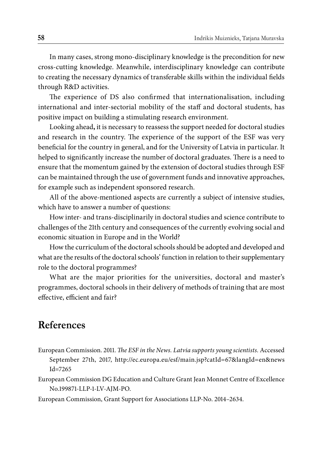In many cases, strong mono-disciplinary knowledge is the precondition for new cross-cutting knowledge. Meanwhile, interdisciplinary knowledge can contribute to creating the necessary dynamics of transferable skills within the individual fields through R&D activities.

The experience of DS also confirmed that internationalisation, including international and inter-sectorial mobility of the staff and doctoral students, has positive impact on building a stimulating research environment.

Looking ahead**,** it is necessary to reassess the support needed for doctoral studies and research in the country. The experience of the support of the ESF was very beneficial for the country in general, and for the University of Latvia in particular. It helped to significantly increase the number of doctoral graduates. There is a need to ensure that the momentum gained by the extension of doctoral studies through ESF can be maintained through the use of government funds and innovative approaches, for example such as independent sponsored research.

All of the above-mentioned aspects are currently a subject of intensive studies, which have to answer a number of questions:

How inter- and trans-disciplinarily in doctoral studies and science contribute to challenges of the 21th century and consequences of the currently evolving social and economic situation in Europe and in the World?

How the curriculum of the doctoral schools should be adopted and developed and what are the results of the doctoral schools' function in relation to their supplementary role to the doctoral programmes?

What are the major priorities for the universities, doctoral and master's programmes, doctoral schools in their delivery of methods of training that are most effective, efficient and fair?

### **References**

- European Commission. 2011. *The ESF in the News. Latvia supports young scientists.* Accessed September 27th, 2017, http://ec.europa.eu/esf/main.jsp?catId=67&langId=en&news  $Id = 7265$
- European Commission DG Education and Culture Grant Jean Monnet Centre of Excellence No.199871-LLP-1-LV-AJM-PO.

European Commission, Grant Support for Associations LLP-No. 2014–2634.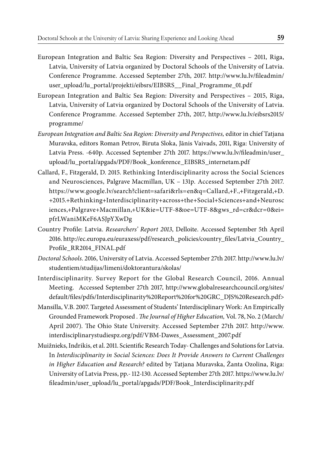- European Integration and Baltic Sea Region: Diversity and Perspectives 2011, Riga, Latvia, University of Latvia organized by Doctoral Schools of the University of Latvia. Conference Programme. Accessed September 27th, 2017. http://www.lu.lv/fileadmin/ user\_upload/lu\_portal/projekti/eibsrs/EIBSRS\_\_Final\_Programme\_01.pdf
- European Integration and Baltic Sea Region: Diversity and Perspectives 2015, Riga, Latvia, University of Latvia organized by Doctoral Schools of the University of Latvia. Conference Programme. Accessed September 27th, 2017, http://www.lu.lv/eibsrs2015/ programme/
- *European Integration and Baltic Sea Region: Diversity and Perspectives,* editor in chief Tatjana Muravska, editors Roman Petrov, Biruta Sloka, Jānis Vaivads, 2011, Riga: University of Latvia Press. -640p. Accessed September 27th 2017. https://www.lu.lv/fileadmin/user\_ upload/lu\_portal/apgads/PDF/Book\_konference\_EIBSRS\_internetam.pdf
- Callard, F., Fitzgerald, D. 2015. Rethinking Interdisciplinarity across the Social Sciences and Neurosciences, Palgrave Macmillan, UK – 131p. Accessed September 27th 2017. https://www.google.lv/search?client=safari&rls=en&q=Callard,+F.,+Fitzgerald,+D. +2015.+Rethinking+Interdisciplinarity+across+the+Social+Sciences+and+Neurosc iences,+Palgrave+Macmillan,+UK&ie=UTF-8&oe=UTF-8&gws\_rd=cr&dcr=0&ei= pfrLWaniMKeF6ASJpYXwDg
- Country Profile: Latvia. *Researchers' Report 2013*, Delloite. Accessed September 5th April 2016. http://ec.europa.eu/euraxess/pdf/research\_policies/country\_files/Latvia\_Country\_ Profile\_RR2014\_FINAL.pdf
- *Doctoral Schools*. 2016, University of Latvia. Accessed September 27th 2017. http://www.lu.lv/ studentiem/studijas/limeni/doktorantura/skolas/
- Interdisciplinarity. Survey Report for the Global Research Council, 2016. Annual Meeting. Accessed September 27th 2017, http://www.globalresearchcouncil.org/sites/ default/fi les/pdfs/Interdisciplinarity%20Report%20for%20GRC\_DJS%20Research.pdf>
- Mansilla, V.B. 2007. Targeted Assessment of Students' Interdisciplinary Work: An Empirically Grounded Framework Proposed . *The Journal of Higher Education*, Vol. 78, No. 2 (March/ April 2007). The Ohio State University. Accessed September 27th 2017. http://www. interdisciplinarystudiespz.org/pdf/VBM-Dawes\_Assessment\_2007.pdf
- Muižnieks, Indrikis, et al. 2011. Scientific Research Today-Challenges and Solutions for Latvia. In *Interdisciplinarity in Social Sciences: Does It Provide Answers to Current Challenges in Higher Education and Research?* edited by Tatjana Muravska, Žanta Ozolina, Riga: University of Latvia Press, pp.- 112-130. Accessed September 27th 2017. https://www.lu.lv/ fi leadmin/user\_upload/lu\_portal/apgads/PDF/Book\_Interdisciplinarity.pdf